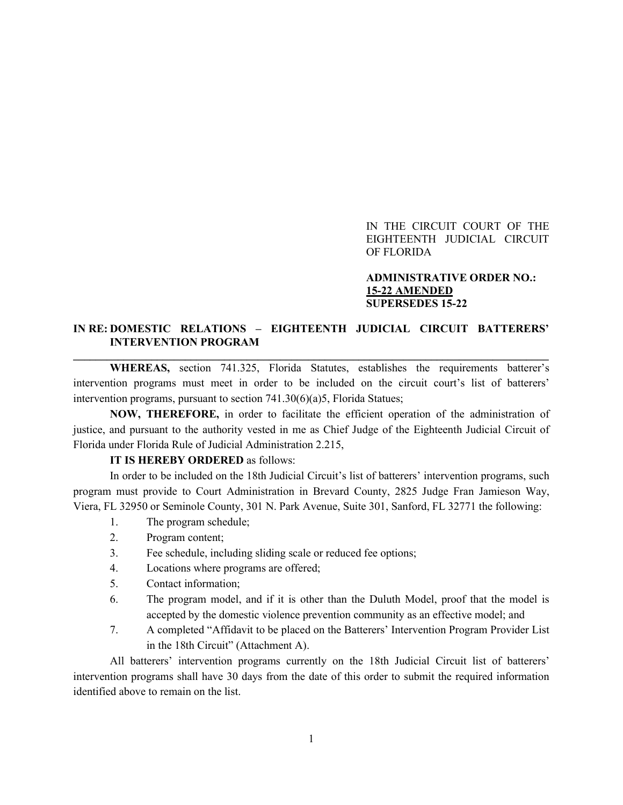IN THE CIRCUIT COURT OF THE EIGHTEENTH JUDICIAL CIRCUIT OF FLORIDA

## **ADMINISTRATIVE ORDER NO.: 15-22 AMENDED SUPERSEDES 15-22**

## **IN RE: DOMESTIC RELATIONS – EIGHTEENTH JUDICIAL CIRCUIT BATTERERS' INTERVENTION PROGRAM \_\_\_\_\_\_\_\_\_\_\_\_\_\_\_\_\_\_\_\_\_\_\_\_\_\_\_\_\_\_\_\_\_\_\_\_\_\_\_\_\_\_\_\_\_\_\_\_\_\_\_\_\_\_\_\_\_\_\_\_\_\_\_\_\_\_\_\_\_\_\_\_\_\_\_\_\_\_\_\_\_\_\_\_\_**

**WHEREAS,** section 741.325, Florida Statutes, establishes the requirements batterer's intervention programs must meet in order to be included on the circuit court's list of batterers' intervention programs, pursuant to section 741.30(6)(a)5, Florida Statues;

**NOW, THEREFORE,** in order to facilitate the efficient operation of the administration of justice, and pursuant to the authority vested in me as Chief Judge of the Eighteenth Judicial Circuit of Florida under Florida Rule of Judicial Administration 2.215,

## **IT IS HEREBY ORDERED** as follows:

In order to be included on the 18th Judicial Circuit's list of batterers' intervention programs, such program must provide to Court Administration in Brevard County, 2825 Judge Fran Jamieson Way, Viera, FL 32950 or Seminole County, 301 N. Park Avenue, Suite 301, Sanford, FL 32771 the following:

- 1. The program schedule;
- 2. Program content;
- 3. Fee schedule, including sliding scale or reduced fee options;
- 4. Locations where programs are offered;
- 5. Contact information;
- 6. The program model, and if it is other than the Duluth Model, proof that the model is accepted by the domestic violence prevention community as an effective model; and
- 7. A completed "Affidavit to be placed on the Batterers' Intervention Program Provider List in the 18th Circuit" (Attachment A).

All batterers' intervention programs currently on the 18th Judicial Circuit list of batterers' intervention programs shall have 30 days from the date of this order to submit the required information identified above to remain on the list.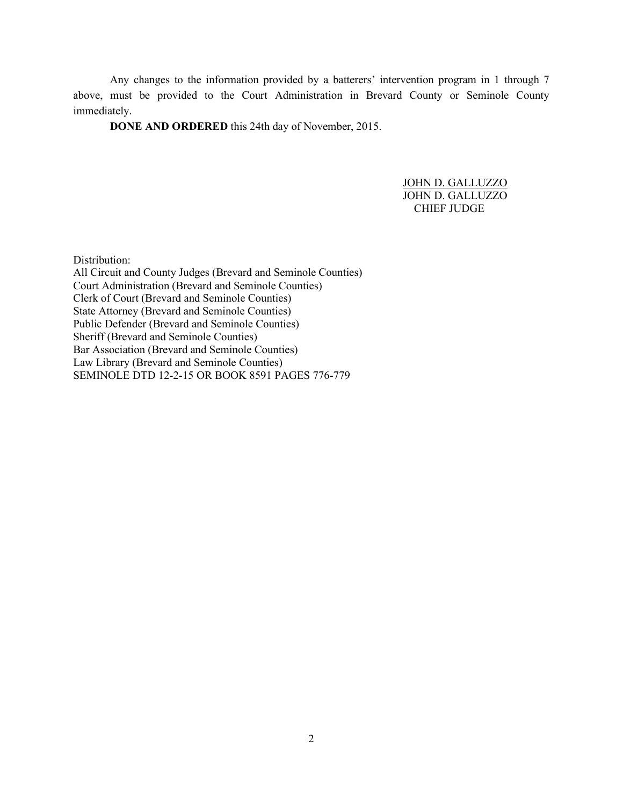Any changes to the information provided by a batterers' intervention program in 1 through 7 above, must be provided to the Court Administration in Brevard County or Seminole County immediately.

**DONE AND ORDERED** this 24th day of November, 2015.

JOHN D. GALLUZZO JOHN D. GALLUZZO CHIEF JUDGE

Distribution:

All Circuit and County Judges (Brevard and Seminole Counties) Court Administration (Brevard and Seminole Counties) Clerk of Court (Brevard and Seminole Counties) State Attorney (Brevard and Seminole Counties) Public Defender (Brevard and Seminole Counties) Sheriff (Brevard and Seminole Counties) Bar Association (Brevard and Seminole Counties) Law Library (Brevard and Seminole Counties) SEMINOLE DTD 12-2-15 OR BOOK 8591 PAGES 776-779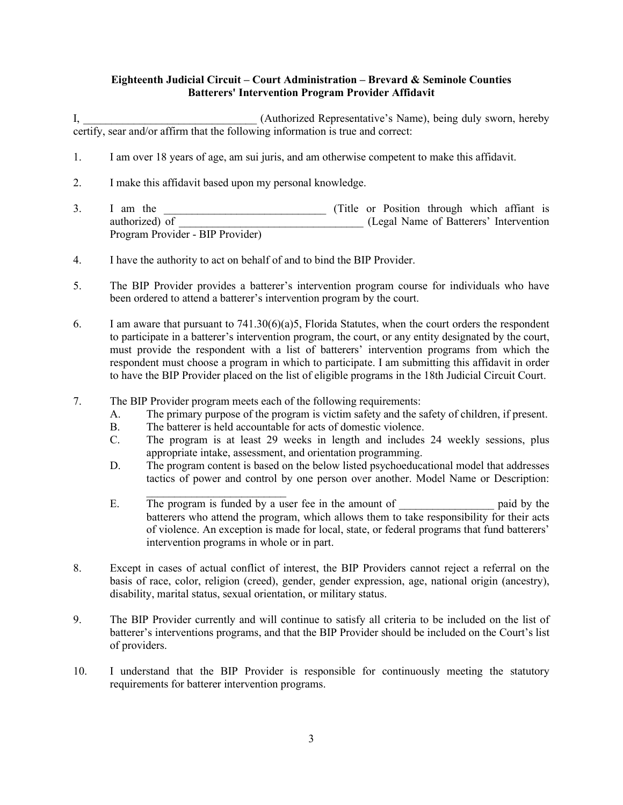## **Eighteenth Judicial Circuit – Court Administration – Brevard & Seminole Counties Batterers' Intervention Program Provider Affidavit**

I, **Authorized Representative's Name**), being duly sworn, hereby certify, sear and/or affirm that the following information is true and correct:

- 1. I am over 18 years of age, am sui juris, and am otherwise competent to make this affidavit.
- 2. I make this affidavit based upon my personal knowledge.
- 3. I am the the same is the set of the set of Title or Position through which affiant is authorized) of  $(legal Name of Batterers' Intervention)$ Program Provider - BIP Provider)
- 4. I have the authority to act on behalf of and to bind the BIP Provider.
- 5. The BIP Provider provides a batterer's intervention program course for individuals who have been ordered to attend a batterer's intervention program by the court.
- 6. I am aware that pursuant to 741.30(6)(a)5, Florida Statutes, when the court orders the respondent to participate in a batterer's intervention program, the court, or any entity designated by the court, must provide the respondent with a list of batterers' intervention programs from which the respondent must choose a program in which to participate. I am submitting this affidavit in order to have the BIP Provider placed on the list of eligible programs in the 18th Judicial Circuit Court.
- 7. The BIP Provider program meets each of the following requirements:
	- A. The primary purpose of the program is victim safety and the safety of children, if present.
	- B. The batterer is held accountable for acts of domestic violence.
	- C. The program is at least 29 weeks in length and includes 24 weekly sessions, plus appropriate intake, assessment, and orientation programming.
	- D. The program content is based on the below listed psychoeducational model that addresses tactics of power and control by one person over another. Model Name or Description:
	- \_\_\_\_\_\_\_\_\_\_\_\_\_\_\_\_\_\_\_\_\_\_\_\_\_ E. The program is funded by a user fee in the amount of \_\_\_\_\_\_\_\_\_\_\_\_\_\_\_\_\_\_\_\_ paid by the batterers who attend the program, which allows them to take responsibility for their acts of violence. An exception is made for local, state, or federal programs that fund batterers' intervention programs in whole or in part.
- 8. Except in cases of actual conflict of interest, the BIP Providers cannot reject a referral on the basis of race, color, religion (creed), gender, gender expression, age, national origin (ancestry), disability, marital status, sexual orientation, or military status.
- 9. The BIP Provider currently and will continue to satisfy all criteria to be included on the list of batterer's interventions programs, and that the BIP Provider should be included on the Court's list of providers.
- 10. I understand that the BIP Provider is responsible for continuously meeting the statutory requirements for batterer intervention programs.